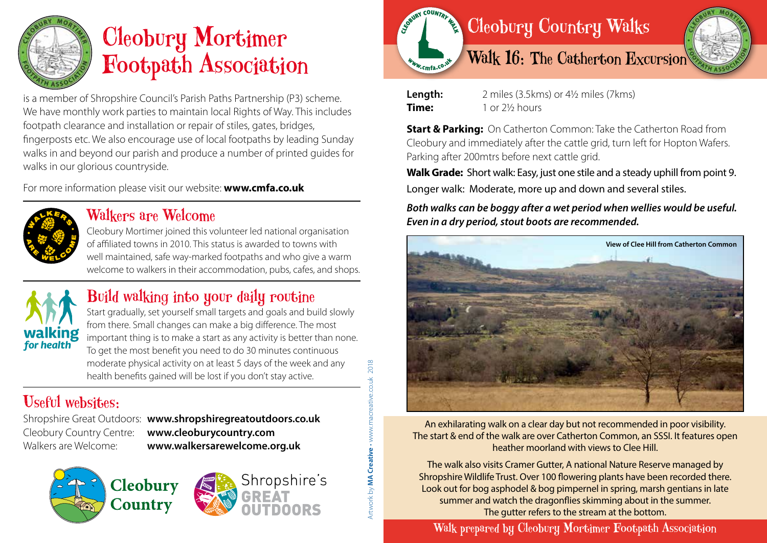

# Cleobury Mortimer Footpath Association

is a member of Shropshire Council's Parish Paths Partnership (P3) scheme. We have monthly work parties to maintain local Rights of Way. This includes footpath clearance and installation or repair of stiles, gates, bridges, fingerposts etc. We also encourage use of local footpaths by leading Sunday walks in and beyond our parish and produce a number of printed guides for walks in our glorious countryside.

For more information please visit our website: **www.cmfa.co.uk**



## Walkers are Welcome

Cleobury Mortimer joined this volunteer led national organisation of affiliated towns in 2010. This status is awarded to towns with well maintained, safe way-marked footpaths and who give a warm welcome to walkers in their accommodation, pubs, cafes, and shops.



# Build walking into your daily routine

Start gradually, set yourself small targets and goals and build slowly from there. Small changes can make a big difference. The most important thing is to make a start as any activity is better than none. To get the most benefit you need to do 30 minutes continuous moderate physical activity on at least 5 days of the week and any health benefits gained will be lost if you don't stay active.

# Useful websites:

Shropshire Great Outdoors: **www.shropshiregreatoutdoors.co.uk**  Cleobury Country Centre: **www.cleoburycountry.com** Walkers are Welcome: **www.walkersarewelcome.org.uk**



Artwork by **MA Creative** • www.macreative.co.uk 2018

2018





**Length:** 2 miles (3.5kms) or 4½ miles (7kms) **Time:** 1 or 2½ hours

**Start & Parking:** On Catherton Common: Take the Catherton Road from Cleobury and immediately after the cattle grid, turn left for Hopton Wafers. Parking after 200mtrs before next cattle grid.

**Walk Grade:** Short walk: Easy, just one stile and a steady uphill from point 9. Longer walk: Moderate, more up and down and several stiles.

*Both walks can be boggy after a wet period when wellies would be useful. Even in a dry period, stout boots are recommended.*



An exhilarating walk on a clear day but not recommended in poor visibility. The start & end of the walk are over Catherton Common, an SSSI. It features open heather moorland with views to Clee Hill.

The walk also visits Cramer Gutter, A national Nature Reserve managed by Shropshire Wildlife Trust. Over 100 flowering plants have been recorded there. Look out for bog asphodel & bog pimpernel in spring, marsh gentians in late summer and watch the dragonflies skimming about in the summer. The gutter refers to the stream at the bottom.

Walk prepared by Cleobury Mortimer Footpath Association